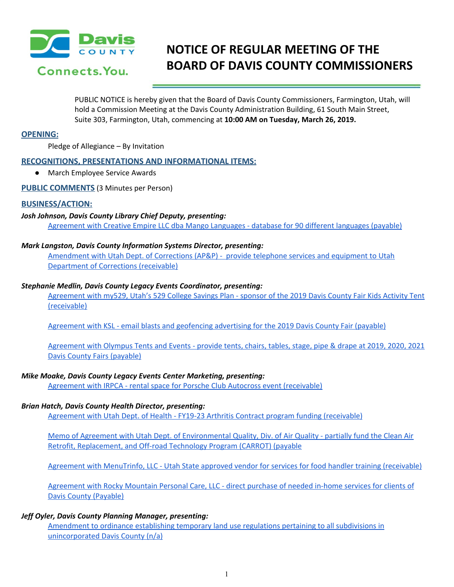

# **NOTICE OF REGULAR MEETING OF THE BOARD OF DAVIS COUNTY COMMISSIONERS**

PUBLIC NOTICE is hereby given that the Board of Davis County Commissioners, Farmington, Utah, will hold a Commission Meeting at the Davis County Administration Building, 61 South Main Street, Suite 303, Farmington, Utah, commencing at **10:00 AM on Tuesday, March 26, 2019.**

# **OPENING:**

Pledge of Allegiance – By Invitation

# **RECOGNITIONS, PRESENTATIONS AND INFORMATIONAL ITEMS:**

● March Employee Service Awards

**PUBLIC COMMENTS** (3 Minutes per Person)

## **BUSINESS/ACTION:**

## *Josh Johnson, Davis County Library Chief Deputy, presenting:*

[Agreement](https://drive.google.com/a/co.davis.ut.us/file/d/1PSx3gZUCRKJoPnnC5po9wh3M4HMsYPcZ/view?usp=drivesdk) with Creative Empire LLC dba Mango Languages - database for 90 different languages (payable)

#### *Mark Langston, Davis County Information Systems Director, presenting:*

[Amendment](https://drive.google.com/a/co.davis.ut.us/file/d/1Lqz6DDSRvvcah1Mz9B_m6JfqgurOY685/view?usp=drivesdk) with Utah Dept. of Corrections (AP&P) - provide telephone services and equipment to Utah [Department](https://drive.google.com/a/co.davis.ut.us/file/d/1Lqz6DDSRvvcah1Mz9B_m6JfqgurOY685/view?usp=drivesdk) of Corrections (receivable)

## *Stephanie Medlin, Davis County Legacy Events Coordinator, presenting:*

[Agreement](https://drive.google.com/a/co.davis.ut.us/file/d/1lXjIVoxoZpnx7ZFPKfNOezblwoBAn9VP/view?usp=drivesdk) with my529, Utah's 529 College Savings Plan - sponsor of the 2019 Davis County Fair Kids Activity Tent [\(receivable\)](https://drive.google.com/a/co.davis.ut.us/file/d/1lXjIVoxoZpnx7ZFPKfNOezblwoBAn9VP/view?usp=drivesdk)

[Agreement](https://drive.google.com/a/co.davis.ut.us/file/d/1gKGRw-nu9nkAJS2zz_cGwjA-9h3DNJr0/view?usp=drivesdk) with KSL - email blasts and geofencing advertising for the 2019 Davis County Fair (payable)

[Agreement](https://drive.google.com/a/co.davis.ut.us/file/d/1xHa_sZx2htuxg8LZ1P08sOw1z8HfR-vy/view?usp=drivesdk) with Olympus Tents and Events - provide tents, chairs, tables, stage, pipe & drape at 2019, 2020, 2021 Davis County Fairs [\(payable\)](https://drive.google.com/a/co.davis.ut.us/file/d/1xHa_sZx2htuxg8LZ1P08sOw1z8HfR-vy/view?usp=drivesdk)

# *Mike Moake, Davis County Legacy Events Center Marketing, presenting:*

Agreement with IRPCA - rental space for Porsche Club Autocross event [\(receivable\)](https://drive.google.com/a/co.davis.ut.us/file/d/1GqGgFucMjTPzowsuf-vf2cTLRE1_gb27/view?usp=drivesdk)

#### *Brian Hatch, Davis County Health Director, presenting:*

Agreement with Utah Dept. of Health - FY19-23 Arthritis Contract program funding [\(receivable\)](https://drive.google.com/a/co.davis.ut.us/file/d/18uDafBPqhWy32VYgdxpNVu2aq98ogz25/view?usp=drivesdk)

Memo of Agreement with Utah Dept. of [Environmental](https://drive.google.com/a/co.davis.ut.us/file/d/1clssxMt5DEOHCRbvscAGgos3lC69YOC0/view?usp=drivesdk) Quality, Div. of Air Quality - partially fund the Clean Air Retrofit, [Replacement,](https://drive.google.com/a/co.davis.ut.us/file/d/1clssxMt5DEOHCRbvscAGgos3lC69YOC0/view?usp=drivesdk) and Off-road Technology Program (CARROT) (payable

Agreement with [MenuTrinfo,](https://drive.google.com/a/co.davis.ut.us/file/d/12vtRzXY3VxEdEm-ccw0fr0MnCZy0Bp_8/view?usp=drivesdk) LLC - Utah State approved vendor for services for food handler training (receivable)

[Agreement](https://drive.google.com/a/co.davis.ut.us/file/d/1u2JO_kFyRMlVbQLg404glOfOg8yO4uGw/view?usp=drivesdk) with Rocky Mountain Personal Care, LLC - direct purchase of needed in-home services for clients of Davis County [\(Payable\)](https://drive.google.com/a/co.davis.ut.us/file/d/1u2JO_kFyRMlVbQLg404glOfOg8yO4uGw/view?usp=drivesdk)

# *Jeff Oyler, Davis County Planning Manager, presenting:*

[Amendment](https://drive.google.com/a/co.davis.ut.us/file/d/13fKPMDewCvrTE_1HKcU8vfwAFX4XBCKP/view?usp=drivesdk) to ordinance establishing temporary land use regulations pertaining to all subdivisions in [unincorporated](https://drive.google.com/a/co.davis.ut.us/file/d/13fKPMDewCvrTE_1HKcU8vfwAFX4XBCKP/view?usp=drivesdk) Davis County (n/a)